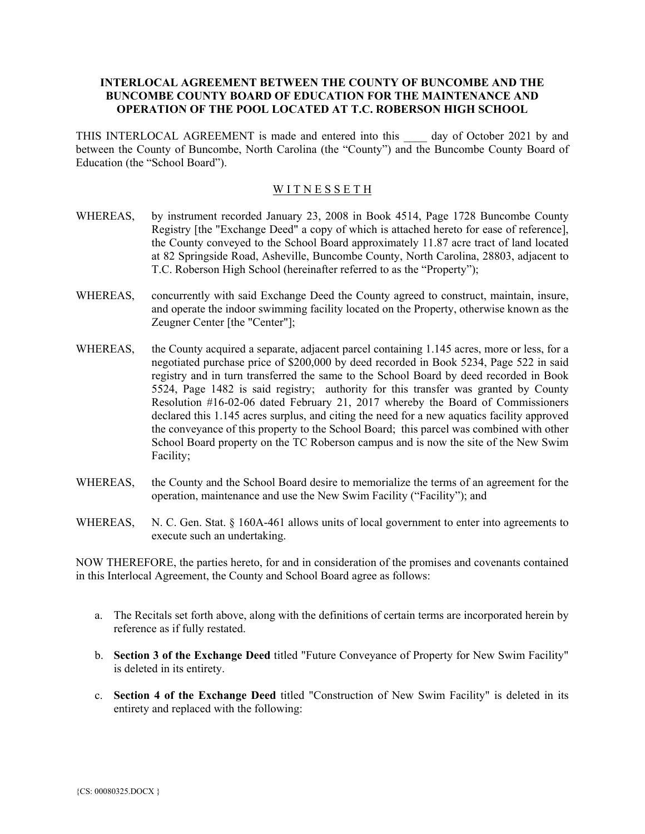## **INTERLOCAL AGREEMENT BETWEEN THE COUNTY OF BUNCOMBE AND THE BUNCOMBE COUNTY BOARD OF EDUCATION FOR THE MAINTENANCE AND OPERATION OF THE POOL LOCATED AT T.C. ROBERSON HIGH SCHOOL**

THIS INTERLOCAL AGREEMENT is made and entered into this \_\_\_\_ day of October 2021 by and between the County of Buncombe, North Carolina (the "County") and the Buncombe County Board of Education (the "School Board").

## WITNESSETH

- WHEREAS, by instrument recorded January 23, 2008 in Book 4514, Page 1728 Buncombe County Registry [the "Exchange Deed" a copy of which is attached hereto for ease of reference], the County conveyed to the School Board approximately 11.87 acre tract of land located at 82 Springside Road, Asheville, Buncombe County, North Carolina, 28803, adjacent to T.C. Roberson High School (hereinafter referred to as the "Property");
- WHEREAS, concurrently with said Exchange Deed the County agreed to construct, maintain, insure, and operate the indoor swimming facility located on the Property, otherwise known as the Zeugner Center [the "Center"];
- WHEREAS, the County acquired a separate, adjacent parcel containing 1.145 acres, more or less, for a negotiated purchase price of \$200,000 by deed recorded in Book 5234, Page 522 in said registry and in turn transferred the same to the School Board by deed recorded in Book 5524, Page 1482 is said registry; authority for this transfer was granted by County Resolution #16-02-06 dated February 21, 2017 whereby the Board of Commissioners declared this 1.145 acres surplus, and citing the need for a new aquatics facility approved the conveyance of this property to the School Board; this parcel was combined with other School Board property on the TC Roberson campus and is now the site of the New Swim Facility;
- WHEREAS, the County and the School Board desire to memorialize the terms of an agreement for the operation, maintenance and use the New Swim Facility ("Facility"); and
- WHEREAS, N. C. Gen. Stat. § 160A-461 allows units of local government to enter into agreements to execute such an undertaking.

NOW THEREFORE, the parties hereto, for and in consideration of the promises and covenants contained in this Interlocal Agreement, the County and School Board agree as follows:

- a. The Recitals set forth above, along with the definitions of certain terms are incorporated herein by reference as if fully restated.
- b. **Section 3 of the Exchange Deed** titled "Future Conveyance of Property for New Swim Facility" is deleted in its entirety.
- c. **Section 4 of the Exchange Deed** titled "Construction of New Swim Facility" is deleted in its entirety and replaced with the following: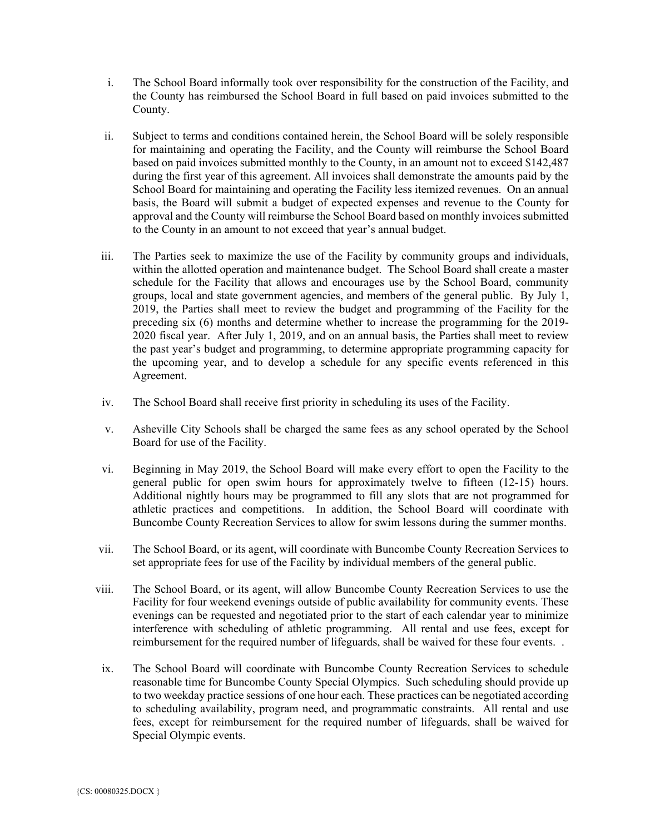- i. The School Board informally took over responsibility for the construction of the Facility, and the County has reimbursed the School Board in full based on paid invoices submitted to the County.
- ii. Subject to terms and conditions contained herein, the School Board will be solely responsible for maintaining and operating the Facility, and the County will reimburse the School Board based on paid invoices submitted monthly to the County, in an amount not to exceed \$142,487 during the first year of this agreement. All invoices shall demonstrate the amounts paid by the School Board for maintaining and operating the Facility less itemized revenues. On an annual basis, the Board will submit a budget of expected expenses and revenue to the County for approval and the County will reimburse the School Board based on monthly invoices submitted to the County in an amount to not exceed that year's annual budget.
- iii. The Parties seek to maximize the use of the Facility by community groups and individuals, within the allotted operation and maintenance budget. The School Board shall create a master schedule for the Facility that allows and encourages use by the School Board, community groups, local and state government agencies, and members of the general public. By July 1, 2019, the Parties shall meet to review the budget and programming of the Facility for the preceding six (6) months and determine whether to increase the programming for the 2019- 2020 fiscal year. After July 1, 2019, and on an annual basis, the Parties shall meet to review the past year's budget and programming, to determine appropriate programming capacity for the upcoming year, and to develop a schedule for any specific events referenced in this Agreement.
- iv. The School Board shall receive first priority in scheduling its uses of the Facility.
- v. Asheville City Schools shall be charged the same fees as any school operated by the School Board for use of the Facility.
- vi. Beginning in May 2019, the School Board will make every effort to open the Facility to the general public for open swim hours for approximately twelve to fifteen (12-15) hours. Additional nightly hours may be programmed to fill any slots that are not programmed for athletic practices and competitions. In addition, the School Board will coordinate with Buncombe County Recreation Services to allow for swim lessons during the summer months.
- vii. The School Board, or its agent, will coordinate with Buncombe County Recreation Services to set appropriate fees for use of the Facility by individual members of the general public.
- viii. The School Board, or its agent, will allow Buncombe County Recreation Services to use the Facility for four weekend evenings outside of public availability for community events. These evenings can be requested and negotiated prior to the start of each calendar year to minimize interference with scheduling of athletic programming. All rental and use fees, except for reimbursement for the required number of lifeguards, shall be waived for these four events. .
- ix. The School Board will coordinate with Buncombe County Recreation Services to schedule reasonable time for Buncombe County Special Olympics. Such scheduling should provide up to two weekday practice sessions of one hour each. These practices can be negotiated according to scheduling availability, program need, and programmatic constraints. All rental and use fees, except for reimbursement for the required number of lifeguards, shall be waived for Special Olympic events.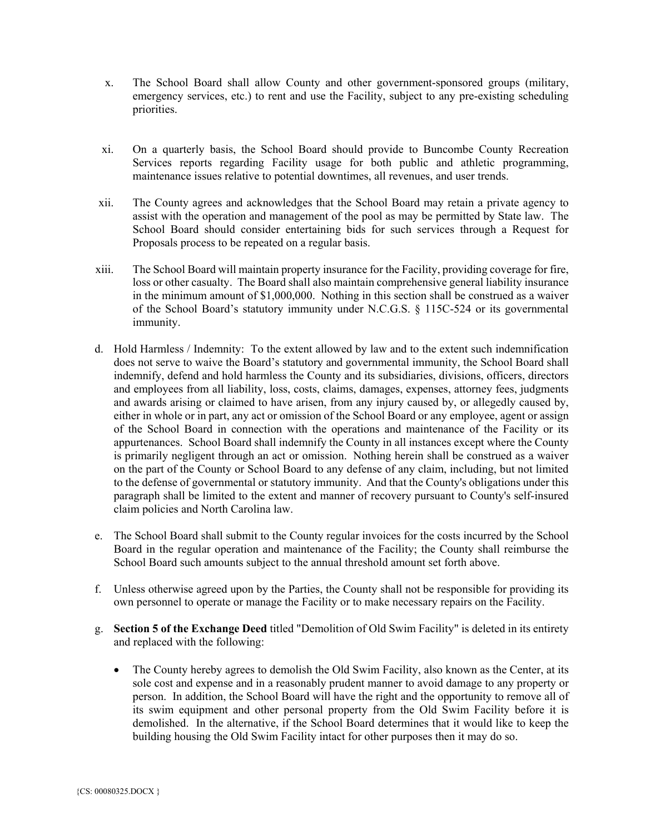- x. The School Board shall allow County and other government-sponsored groups (military, emergency services, etc.) to rent and use the Facility, subject to any pre-existing scheduling priorities.
- xi. On a quarterly basis, the School Board should provide to Buncombe County Recreation Services reports regarding Facility usage for both public and athletic programming, maintenance issues relative to potential downtimes, all revenues, and user trends.
- xii. The County agrees and acknowledges that the School Board may retain a private agency to assist with the operation and management of the pool as may be permitted by State law. The School Board should consider entertaining bids for such services through a Request for Proposals process to be repeated on a regular basis.
- xiii. The School Board will maintain property insurance for the Facility, providing coverage for fire, loss or other casualty. The Board shall also maintain comprehensive general liability insurance in the minimum amount of \$1,000,000. Nothing in this section shall be construed as a waiver of the School Board's statutory immunity under N.C.G.S. § 115C-524 or its governmental immunity.
- d. Hold Harmless / Indemnity: To the extent allowed by law and to the extent such indemnification does not serve to waive the Board's statutory and governmental immunity, the School Board shall indemnify, defend and hold harmless the County and its subsidiaries, divisions, officers, directors and employees from all liability, loss, costs, claims, damages, expenses, attorney fees, judgments and awards arising or claimed to have arisen, from any injury caused by, or allegedly caused by, either in whole or in part, any act or omission of the School Board or any employee, agent or assign of the School Board in connection with the operations and maintenance of the Facility or its appurtenances. School Board shall indemnify the County in all instances except where the County is primarily negligent through an act or omission. Nothing herein shall be construed as a waiver on the part of the County or School Board to any defense of any claim, including, but not limited to the defense of governmental or statutory immunity. And that the County's obligations under this paragraph shall be limited to the extent and manner of recovery pursuant to County's self-insured claim policies and North Carolina law.
- e. The School Board shall submit to the County regular invoices for the costs incurred by the School Board in the regular operation and maintenance of the Facility; the County shall reimburse the School Board such amounts subject to the annual threshold amount set forth above.
- f. Unless otherwise agreed upon by the Parties, the County shall not be responsible for providing its own personnel to operate or manage the Facility or to make necessary repairs on the Facility.
- g. **Section 5 of the Exchange Deed** titled "Demolition of Old Swim Facility" is deleted in its entirety and replaced with the following:
	- The County hereby agrees to demolish the Old Swim Facility, also known as the Center, at its sole cost and expense and in a reasonably prudent manner to avoid damage to any property or person. In addition, the School Board will have the right and the opportunity to remove all of its swim equipment and other personal property from the Old Swim Facility before it is demolished. In the alternative, if the School Board determines that it would like to keep the building housing the Old Swim Facility intact for other purposes then it may do so.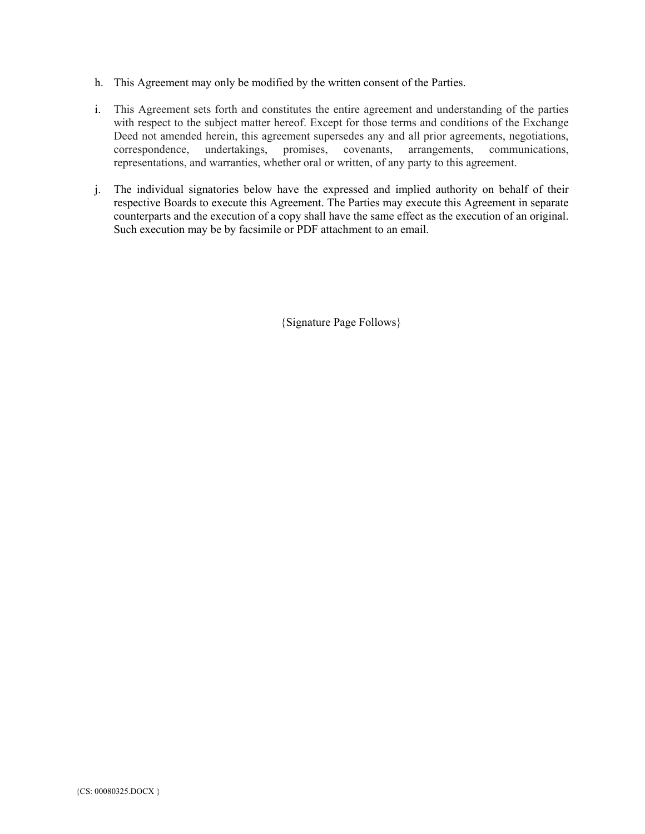- h. This Agreement may only be modified by the written consent of the Parties.
- i. This Agreement sets forth and constitutes the entire agreement and understanding of the parties with respect to the subject matter hereof. Except for those terms and conditions of the Exchange Deed not amended herein, this agreement supersedes any and all prior agreements, negotiations, correspondence, undertakings, promises, covenants, arrangements, communications, representations, and warranties, whether oral or written, of any party to this agreement.
- j. The individual signatories below have the expressed and implied authority on behalf of their respective Boards to execute this Agreement. The Parties may execute this Agreement in separate counterparts and the execution of a copy shall have the same effect as the execution of an original. Such execution may be by facsimile or PDF attachment to an email.

{Signature Page Follows}